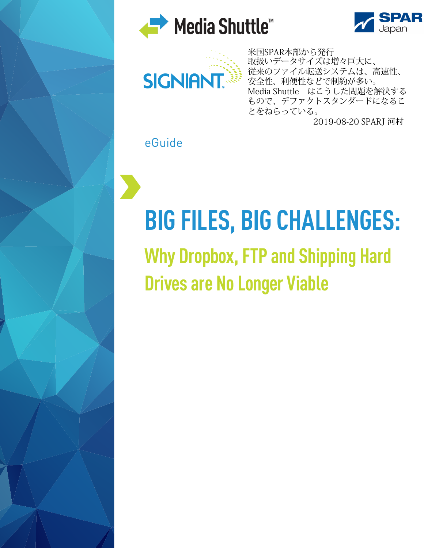



[米国](http://www.signiant.com/?cc=eg-bigfiles-nm)SPAR本部から発行 取扱いデータサイズは増々巨大に、 従来のファイル転送システムは、高速性、 安全性、利便性などで制約が多い。 Media Shuttle はこうした問題を解決する もので、デファクトスタンダードになるこ とをねらっている。

2019-08-20 SPARJ 河村

eGuide

# **BIG FILES, BIG CHALLENGES:**

**Why Dropbox, FTP and Shipping Hard Drives are No Longer Viable**

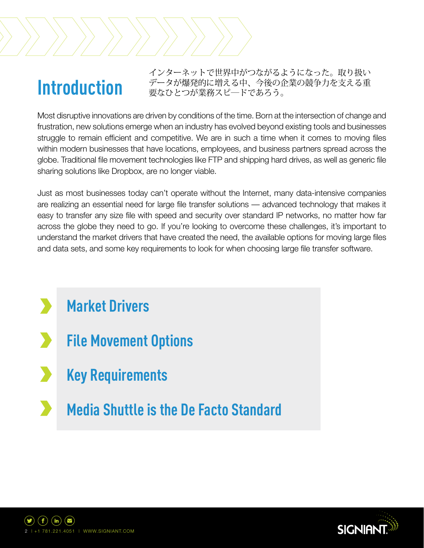### **Introduction**

インターネットで世界中がつながるようになった。取り扱い データが爆発的に増える中、今後の企業の競争力を支える重 要なひとつが業務スピ―ドであろう。

Most disruptive innovations are driven by conditions of the time. Born at the intersection of change and frustration, new solutions emerge when an industry has evolved beyond existing tools and businesses struggle to remain efficient and competitive. We are in such a time when it comes to moving files within modern businesses that have locations, employees, and business partners spread across the globe. Traditional file movement technologies like FTP and shipping hard drives, as well as generic file sharing solutions like Dropbox, are no longer viable.

Just as most businesses today can't operate without the Internet, many data-intensive companies are realizing an essential need for large file transfer solutions — advanced technology that makes it easy to transfer any size file with speed and security over standard IP networks, no matter how far across the globe they need to go. If you're looking to overcome these challenges, it's important to understand the market drivers that have created the need, the available options for moving large files and data sets, and some key requirements to look for when choosing large file transfer software.

- **Market Drivers**
- **File Movement Options**
- **Key Requirements**
- **Media Shuttle is the De Facto Standard**



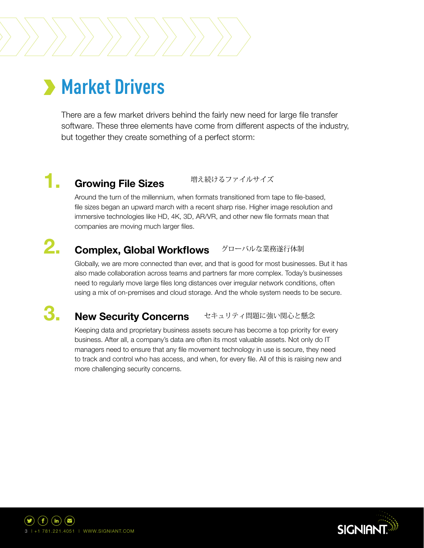## **Market Drivers**

There are a few market drivers behind the fairly new need for large file transfer software. These three elements have come from different aspects of the industry, but together they create something of a perfect storm:

### **1. Growing File Sizes**

増え続けるファイルサイズ

Around the turn of the millennium, when formats transitioned from tape to file-based, file sizes began an upward march with a recent sharp rise. Higher image resolution and immersive technologies like HD, 4K, 3D, AR/VR, and other new file formats mean that companies are moving much larger files.

### **Complex, Global Workflows** グローバルな業務遂行体制 **2.**

Globally, we are more connected than ever, and that is good for most businesses. But it has also made collaboration across teams and partners far more complex. Today's businesses need to regularly move large files long distances over irregular network conditions, often using a mix of on-premises and cloud storage. And the whole system needs to be secure.

#### **New Security Concerns 3.** セキュリティ問題に強い関心と懸念

Keeping data and proprietary business assets secure has become a top priority for every business. After all, a company's data are often its most valuable assets. Not only do IT managers need to ensure that any file movement technology in use is secure, they need to track and control who has access, and when, for every file. All of this is raising new and more challenging security concerns.



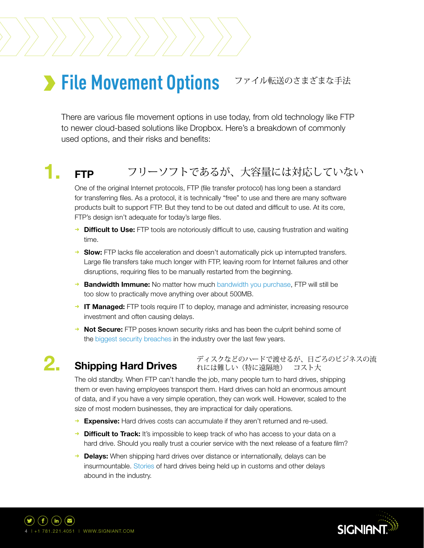### **File Movement Options** ファイル転送のさまざまな手法

There are various file movement options in use today, from old technology like FTP to newer cloud-based solutions like Dropbox. Here's a breakdown of commonly used options, and their risks and benefits:

### **1. FTP** フリーソフトであるが、大容量には対応していない

One of the original Internet protocols, FTP (file transfer protocol) has long been a standard for transferring files. As a protocol, it is technically "free" to use and there are many software products built to support FTP. But they tend to be out dated and difficult to use. At its core, FTP's design isn't adequate for today's large files.

- ➜ **Difficult to Use:** FTP tools are notoriously difficult to use, causing frustration and waiting time.
- **→ Slow:** FTP lacks file acceleration and doesn't automatically pick up interrupted transfers. Large file transfers take much longer with FTP, leaving room for Internet failures and other disruptions, requiring files to be manually restarted from the beginning.
- **→ Bandwidth Immune:** No matter how much [bandwidth you purchase,](https://www.signiant.com/blog/investing-bandwidth-dont-get-charged-extra-use/?cc=eg-bigfiles-nm) FTP will still be too slow to practically move anything over about 500MB.
- → **IT Managed:** FTP tools require IT to deploy, manage and administer, increasing resource investment and often causing delays.
- → **Not Secure:** FTP poses known security risks and has been the culprit behind some of the [biggest security breaches](https://www.signiant.com/blog/ftp-replacement-may-way-secure-content-supply-chains/?cc=eg-bigfiles-nm) in the industry over the last few years.

### **Shipping Hard Drives 2.**

ディスクなどのハードで渡せるが、日ごろのビジネスの流 れには難しい(特に遠隔地) コスト大

The old standby. When FTP can't handle the job, many people turn to hard drives, shipping them or even having employees transport them. Hard drives can hold an enormous amount of data, and if you have a very simple operation, they can work well. However, scaled to the size of most modern businesses, they are impractical for daily operations.

- → **Expensive:** Hard drives costs can accumulate if they aren't returned and re-used.
- → **Difficult to Track:** It's impossible to keep track of who has access to your data on a hard drive. Should you really trust a courier service with the next release of a feature film?
- → **Delays:** When shipping hard drives over distance or internationally, delays can be insurmountable. [Stories](https://www.signiant.com/customers/case-studies/broadmedia-terrestrial-digital-cinema-distribution-using-signiant-technology/?cc=eg-bigfiles-nm) of hard drives being held up in customs and other delays abound in the industry.



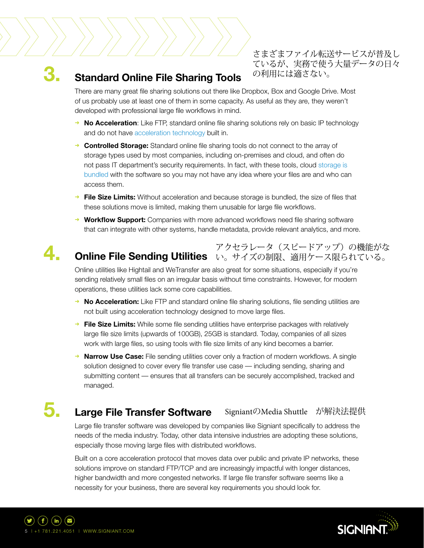### **3. Standard Online File Sharing Tools**

さまざまファイル転送サービスが普及し ているが、実務で使う大量データの日々 の利用には適さない。

There are many great file sharing solutions out there like Dropbox, Box and Google Drive. Most of us probably use at least one of them in some capacity. As useful as they are, they weren't developed with professional large file workflows in mind.

- **→ No Acceleration**: Like FTP, standard online file sharing solutions rely on basic IP technology and do not have [acceleration technology](https://www.signiant.com/technology/acceleration/?cc=eg-bigfiles-nm) built in.
- ➜ **Controlled Storage:** Standard online file sharing tools do not connect to the array of storage types used by most companies, including on-premises and cloud, and often do not pass IT department's security requirements. In fact, with these tools, cloud [storage is](https://www.signiant.com/blog/media-shuttles-storage-independence-customers-embrace-choices/?cc=eg-bigfiles-nm) [bundled](https://www.signiant.com/blog/media-shuttles-storage-independence-customers-embrace-choices/?cc=eg-bigfiles-nm) with the software so you may not have any idea where your files are and who can access them.
- ➜ **File Size Limits:** Without acceleration and because storage is bundled, the size of files that these solutions move is limited, making them unusable for large file workflows.
- **→ Workflow Support:** Companies with more advanced workflows need file sharing software that can integrate with other systems, handle metadata, provide relevant analytics, and more.

### **Online File Sending Utilities** い。サイズの制限、適用ケース限られている。 **4.** アクセラレータ(スピードアップ)の機能がな

Online utilities like Hightail and WeTransfer are also great for some situations, especially if you're sending relatively small files on an irregular basis without time constraints. However, for modern operations, these utilities lack some core capabilities.

- **→ No Acceleration:** Like FTP and standard online file sharing solutions, file sending utilities are not built using acceleration technology designed to move large files.
- ➜ **File Size Limits:** While some file sending utilities have enterprise packages with relatively large file size limits (upwards of 100GB), 25GB is standard. Today, companies of all sizes work with large files, so using tools with file size limits of any kind becomes a barrier.
- **Narrow Use Case:** File sending utilities cover only a fraction of modern workflows. A single solution designed to cover every file transfer use case — including sending, sharing and submitting content — ensures that all transfers can be securely accomplished, tracked and managed.

#### **Large File Transfer Software 5.** SigniantのMedia Shuttle が解決法提供

Large file transfer software was developed by companies like Signiant specifically to address the needs of the media industry. Today, other data intensive industries are adopting these solutions, especially those moving large files with distributed workflows.

Built on a core acceleration protocol that moves data over public and private IP networks, these solutions improve on standard FTP/TCP and are increasingly impactful with longer distances, higher bandwidth and more congested networks. If large file transfer software seems like a necessity for your business, there are several key requirements you should look for.



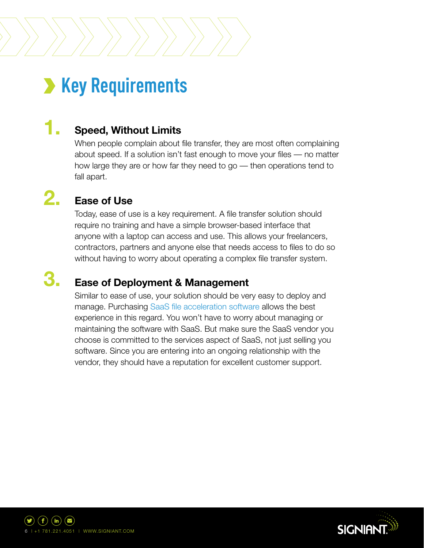### **X** Key Requirements

### **1. Speed, Without Limits**

When people complain about file transfer, they are most often complaining about speed. If a solution isn't fast enough to move your files — no matter how large they are or how far they need to go — then operations tend to fall apart.

### **Ease of Use 2.**

**3.**

Today, ease of use is a key requirement. A file transfer solution should require no training and have a simple browser-based interface that anyone with a laptop can access and use. This allows your freelancers, contractors, partners and anyone else that needs access to files to do so without having to worry about operating a complex file transfer system.

### **Ease of Deployment & Management**

Similar to ease of use, your solution should be very easy to deploy and manage. Purchasing [SaaS file acceleration software](https://www.signiant.com/technology/cloud-and-saas/?cc=eg-bigfiles-nm) allows the best experience in this regard. You won't have to worry about managing or maintaining the software with SaaS. But make sure the SaaS vendor you choose is committed to the services aspect of SaaS, not just selling you software. Since you are entering into an ongoing relationship with the vendor, they should have a reputation for excellent customer support.



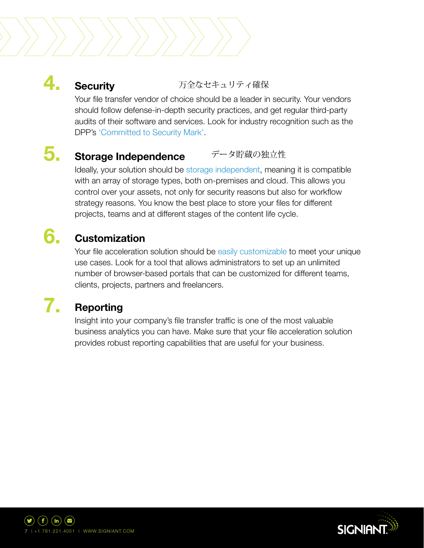### 万全なセキュリティ確保

Your file transfer vendor of choice should be a leader in security. Your vendors should follow defense-in-depth security practices, and get regular third-party audits of their software and services. Look for industry recognition such as the DPP's ['Committed to Security Mark'](https://www.signiant.com/blog/significance-dpp-committed-security-program/?cc=eg-bigfiles-nm).

#### **Storage Independence 5.** データ貯蔵の独立性

Ideally, your solution should be [storage independent,](https://www.signiant.com/technology/storage-freedom/?cc=eg-bigfiles-nm) meaning it is compatible with an array of storage types, both on-premises and cloud. This allows you control over your assets, not only for security reasons but also for workflow strategy reasons. You know the best place to store your files for different projects, teams and at different stages of the content life cycle.

### **Customization 6.**

**Security**

**4.**

Your file acceleration solution should be [easily customizable](https://www.signiant.com/products/media-shuttle/key-features/?cc=eg-bigfiles-nm) to meet your unique use cases. Look for a tool that allows administrators to set up an unlimited number of browser-based portals that can be customized for different teams, clients, projects, partners and freelancers.

### **Reporting 7.**

Insight into your company's file transfer traffic is one of the most valuable business analytics you can have. Make sure that your file acceleration solution provides robust reporting capabilities that are useful for your business.



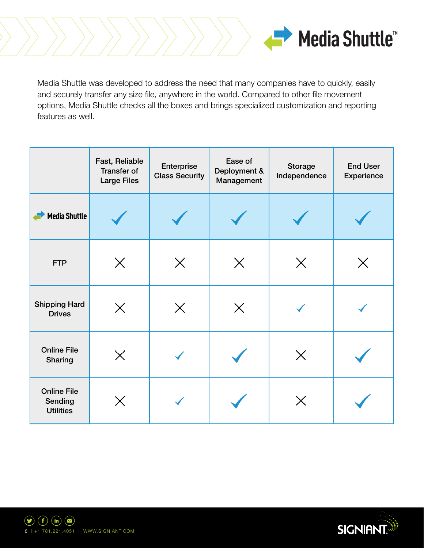

Media Shuttle was developed to address the need that many companies have to quickly, easily and securely transfer any size file, anywhere in the world. Compared to other file movement options, Media Shuttle checks all the boxes and brings specialized customization and reporting features as well.

|                                                   | Fast, Reliable<br><b>Transfer of</b><br><b>Large Files</b> | Enterprise<br><b>Class Security</b> | Ease of<br>Deployment &<br>Management | Storage<br>Independence | <b>End User</b><br>Experience |
|---------------------------------------------------|------------------------------------------------------------|-------------------------------------|---------------------------------------|-------------------------|-------------------------------|
| <b>Media Shuttle</b>                              |                                                            |                                     |                                       |                         |                               |
| <b>FTP</b>                                        | $\times$                                                   | $\times$                            | $\times$                              | $\times$                | Х                             |
| <b>Shipping Hard</b><br><b>Drives</b>             | $\times$                                                   | $\times$                            | $\times$                              |                         |                               |
| <b>Online File</b><br>Sharing                     | $\times$                                                   |                                     |                                       | $\times$                |                               |
| <b>Online File</b><br>Sending<br><b>Utilities</b> | $\times$                                                   |                                     |                                       | $\times$                |                               |